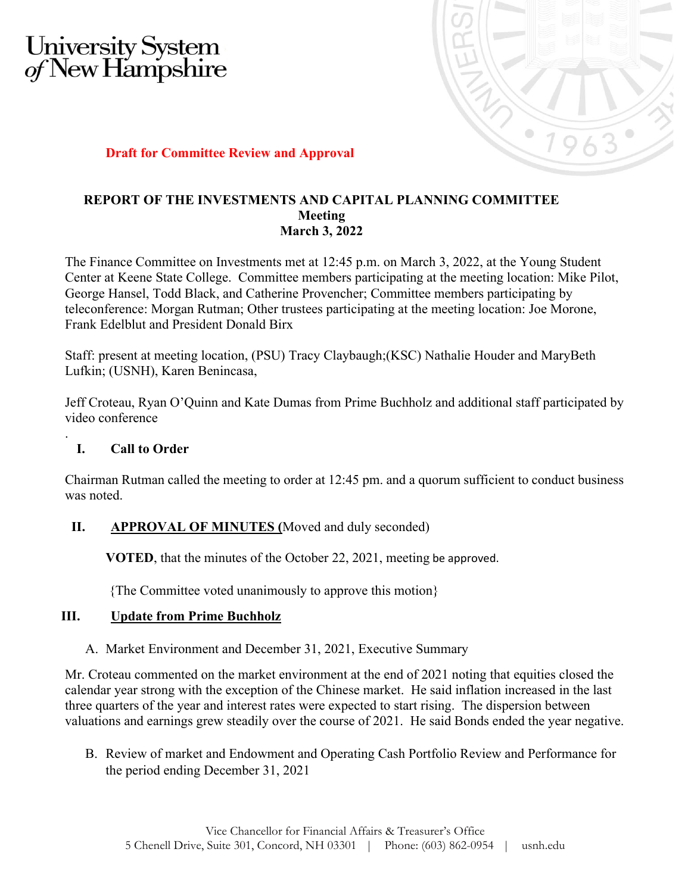# University System<br>of New Hampshire



## **Draft for Committee Review and Approval**

#### **REPORT OF THE INVESTMENTS AND CAPITAL PLANNING COMMITTEE Meeting March 3, 2022**

The Finance Committee on Investments met at 12:45 p.m. on March 3, 2022, at the Young Student Center at Keene State College. Committee members participating at the meeting location: Mike Pilot, George Hansel, Todd Black, and Catherine Provencher; Committee members participating by teleconference: Morgan Rutman; Other trustees participating at the meeting location: Joe Morone, Frank Edelblut and President Donald Birx

Staff: present at meeting location, (PSU) Tracy Claybaugh;(KSC) Nathalie Houder and MaryBeth Lufkin; (USNH), Karen Benincasa,

Jeff Croteau, Ryan O'Quinn and Kate Dumas from Prime Buchholz and additional staff participated by video conference

## **I. Call to Order**

.

Chairman Rutman called the meeting to order at 12:45 pm. and a quorum sufficient to conduct business was noted.

## **II. APPROVAL OF MINUTES (**Moved and duly seconded)

**VOTED**, that the minutes of the October 22, 2021, meeting be approved.

{The Committee voted unanimously to approve this motion}

#### **III. Update from Prime Buchholz**

A. Market Environment and December 31, 2021, Executive Summary

Mr. Croteau commented on the market environment at the end of 2021 noting that equities closed the calendar year strong with the exception of the Chinese market. He said inflation increased in the last three quarters of the year and interest rates were expected to start rising. The dispersion between valuations and earnings grew steadily over the course of 2021. He said Bonds ended the year negative.

B. Review of market and Endowment and Operating Cash Portfolio Review and Performance for the period ending December 31, 2021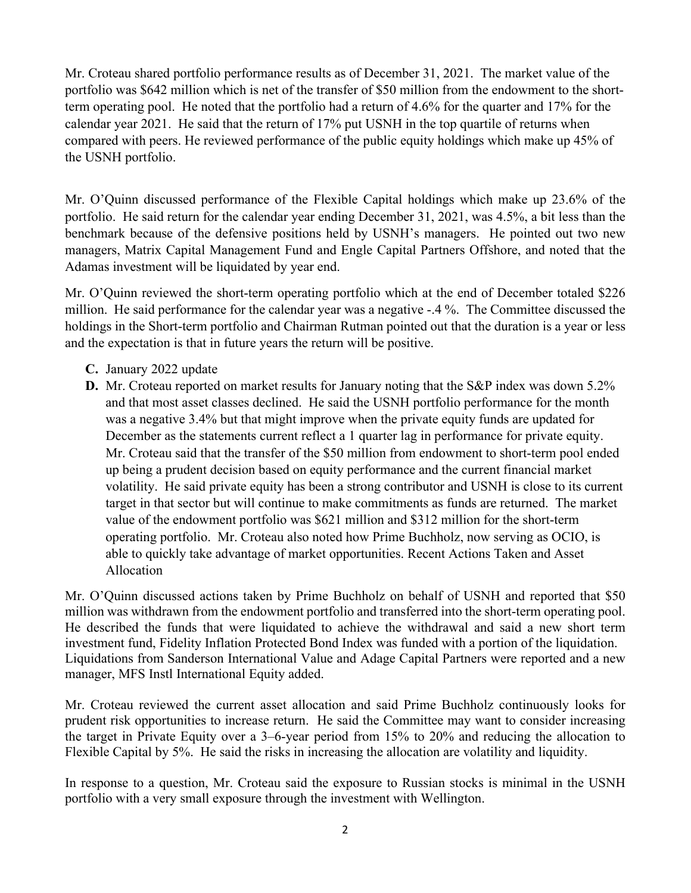Mr. Croteau shared portfolio performance results as of December 31, 2021. The market value of the portfolio was \$642 million which is net of the transfer of \$50 million from the endowment to the shortterm operating pool. He noted that the portfolio had a return of 4.6% for the quarter and 17% for the calendar year 2021. He said that the return of 17% put USNH in the top quartile of returns when compared with peers. He reviewed performance of the public equity holdings which make up 45% of the USNH portfolio.

Mr. O'Quinn discussed performance of the Flexible Capital holdings which make up 23.6% of the portfolio. He said return for the calendar year ending December 31, 2021, was 4.5%, a bit less than the benchmark because of the defensive positions held by USNH's managers. He pointed out two new managers, Matrix Capital Management Fund and Engle Capital Partners Offshore, and noted that the Adamas investment will be liquidated by year end.

Mr. O'Quinn reviewed the short-term operating portfolio which at the end of December totaled \$226 million. He said performance for the calendar year was a negative -.4 %. The Committee discussed the holdings in the Short-term portfolio and Chairman Rutman pointed out that the duration is a year or less and the expectation is that in future years the return will be positive.

- **C.** January 2022 update
- **D.** Mr. Croteau reported on market results for January noting that the S&P index was down 5.2% and that most asset classes declined. He said the USNH portfolio performance for the month was a negative 3.4% but that might improve when the private equity funds are updated for December as the statements current reflect a 1 quarter lag in performance for private equity. Mr. Croteau said that the transfer of the \$50 million from endowment to short-term pool ended up being a prudent decision based on equity performance and the current financial market volatility. He said private equity has been a strong contributor and USNH is close to its current target in that sector but will continue to make commitments as funds are returned. The market value of the endowment portfolio was \$621 million and \$312 million for the short-term operating portfolio. Mr. Croteau also noted how Prime Buchholz, now serving as OCIO, is able to quickly take advantage of market opportunities. Recent Actions Taken and Asset Allocation

Mr. O'Quinn discussed actions taken by Prime Buchholz on behalf of USNH and reported that \$50 million was withdrawn from the endowment portfolio and transferred into the short-term operating pool. He described the funds that were liquidated to achieve the withdrawal and said a new short term investment fund, Fidelity Inflation Protected Bond Index was funded with a portion of the liquidation. Liquidations from Sanderson International Value and Adage Capital Partners were reported and a new manager, MFS Instl International Equity added.

Mr. Croteau reviewed the current asset allocation and said Prime Buchholz continuously looks for prudent risk opportunities to increase return. He said the Committee may want to consider increasing the target in Private Equity over a 3–6-year period from 15% to 20% and reducing the allocation to Flexible Capital by 5%. He said the risks in increasing the allocation are volatility and liquidity.

In response to a question, Mr. Croteau said the exposure to Russian stocks is minimal in the USNH portfolio with a very small exposure through the investment with Wellington.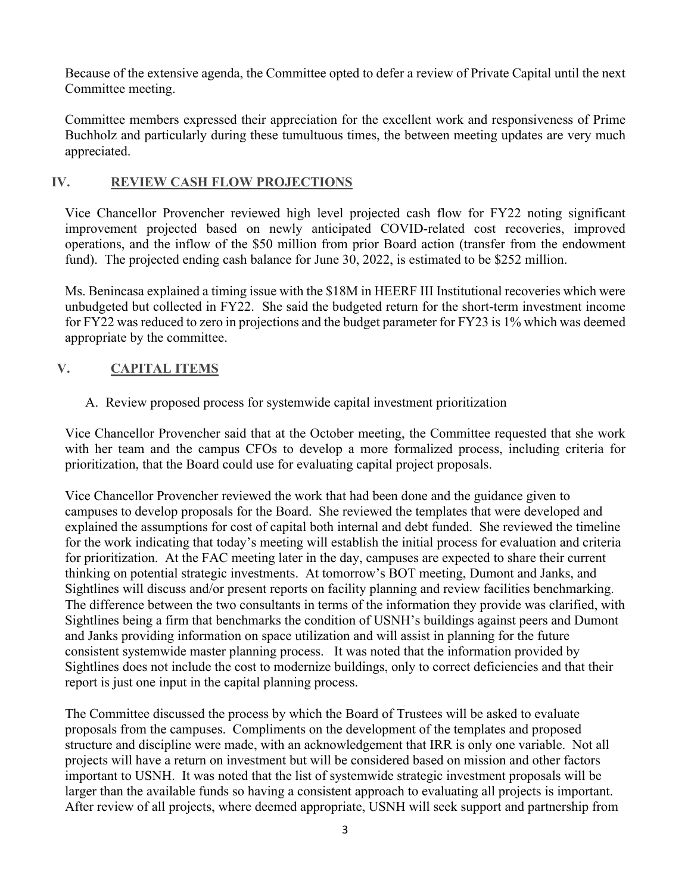Because of the extensive agenda, the Committee opted to defer a review of Private Capital until the next Committee meeting.

Committee members expressed their appreciation for the excellent work and responsiveness of Prime Buchholz and particularly during these tumultuous times, the between meeting updates are very much appreciated.

## **IV. REVIEW CASH FLOW PROJECTIONS**

Vice Chancellor Provencher reviewed high level projected cash flow for FY22 noting significant improvement projected based on newly anticipated COVID-related cost recoveries, improved operations, and the inflow of the \$50 million from prior Board action (transfer from the endowment fund). The projected ending cash balance for June 30, 2022, is estimated to be \$252 million.

Ms. Benincasa explained a timing issue with the \$18M in HEERF III Institutional recoveries which were unbudgeted but collected in FY22. She said the budgeted return for the short-term investment income for FY22 was reduced to zero in projections and the budget parameter for FY23 is 1% which was deemed appropriate by the committee.

## **V. CAPITAL ITEMS**

## A. Review proposed process for systemwide capital investment prioritization

Vice Chancellor Provencher said that at the October meeting, the Committee requested that she work with her team and the campus CFOs to develop a more formalized process, including criteria for prioritization, that the Board could use for evaluating capital project proposals.

Vice Chancellor Provencher reviewed the work that had been done and the guidance given to campuses to develop proposals for the Board. She reviewed the templates that were developed and explained the assumptions for cost of capital both internal and debt funded. She reviewed the timeline for the work indicating that today's meeting will establish the initial process for evaluation and criteria for prioritization. At the FAC meeting later in the day, campuses are expected to share their current thinking on potential strategic investments. At tomorrow's BOT meeting, Dumont and Janks, and Sightlines will discuss and/or present reports on facility planning and review facilities benchmarking. The difference between the two consultants in terms of the information they provide was clarified, with Sightlines being a firm that benchmarks the condition of USNH's buildings against peers and Dumont and Janks providing information on space utilization and will assist in planning for the future consistent systemwide master planning process. It was noted that the information provided by Sightlines does not include the cost to modernize buildings, only to correct deficiencies and that their report is just one input in the capital planning process.

The Committee discussed the process by which the Board of Trustees will be asked to evaluate proposals from the campuses. Compliments on the development of the templates and proposed structure and discipline were made, with an acknowledgement that IRR is only one variable. Not all projects will have a return on investment but will be considered based on mission and other factors important to USNH. It was noted that the list of systemwide strategic investment proposals will be larger than the available funds so having a consistent approach to evaluating all projects is important. After review of all projects, where deemed appropriate, USNH will seek support and partnership from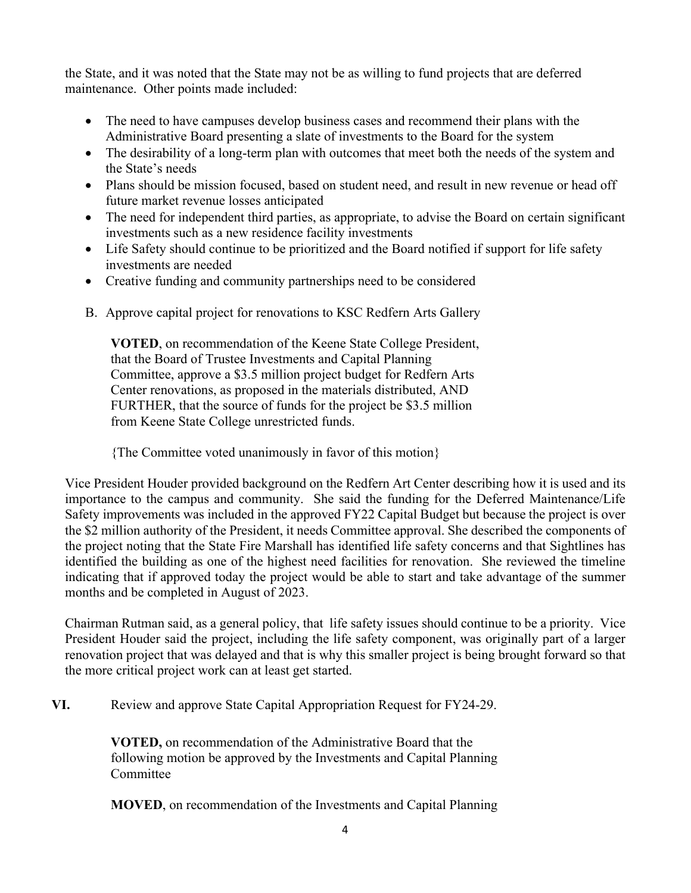the State, and it was noted that the State may not be as willing to fund projects that are deferred maintenance. Other points made included:

- The need to have campuses develop business cases and recommend their plans with the Administrative Board presenting a slate of investments to the Board for the system
- The desirability of a long-term plan with outcomes that meet both the needs of the system and the State's needs
- Plans should be mission focused, based on student need, and result in new revenue or head off future market revenue losses anticipated
- The need for independent third parties, as appropriate, to advise the Board on certain significant investments such as a new residence facility investments
- Life Safety should continue to be prioritized and the Board notified if support for life safety investments are needed
- Creative funding and community partnerships need to be considered
- B. Approve capital project for renovations to KSC Redfern Arts Gallery

**VOTED**, on recommendation of the Keene State College President, that the Board of Trustee Investments and Capital Planning Committee, approve a \$3.5 million project budget for Redfern Arts Center renovations, as proposed in the materials distributed, AND FURTHER, that the source of funds for the project be \$3.5 million from Keene State College unrestricted funds.

{The Committee voted unanimously in favor of this motion}

Vice President Houder provided background on the Redfern Art Center describing how it is used and its importance to the campus and community. She said the funding for the Deferred Maintenance/Life Safety improvements was included in the approved FY22 Capital Budget but because the project is over the \$2 million authority of the President, it needs Committee approval. She described the components of the project noting that the State Fire Marshall has identified life safety concerns and that Sightlines has identified the building as one of the highest need facilities for renovation. She reviewed the timeline indicating that if approved today the project would be able to start and take advantage of the summer months and be completed in August of 2023.

Chairman Rutman said, as a general policy, that life safety issues should continue to be a priority. Vice President Houder said the project, including the life safety component, was originally part of a larger renovation project that was delayed and that is why this smaller project is being brought forward so that the more critical project work can at least get started.

**VI.** Review and approve State Capital Appropriation Request for FY24-29.

**VOTED,** on recommendation of the Administrative Board that the following motion be approved by the Investments and Capital Planning Committee

**MOVED**, on recommendation of the Investments and Capital Planning